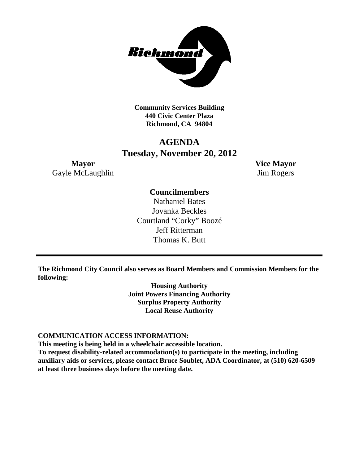

**Community Services Building 440 Civic Center Plaza Richmond, CA 94804**

## **AGENDA Tuesday, November 20, 2012**

**Mayor Vice Mayor** Gayle McLaughlin Jim Rogers

## **Councilmembers**

Nathaniel Bates Jovanka Beckles Courtland "Corky" Boozé Jeff Ritterman Thomas K. Butt

**The Richmond City Council also serves as Board Members and Commission Members for the following:**

> **Housing Authority Joint Powers Financing Authority Surplus Property Authority Local Reuse Authority**

#### **COMMUNICATION ACCESS INFORMATION:**

**This meeting is being held in a wheelchair accessible location.**

**To request disability-related accommodation(s) to participate in the meeting, including auxiliary aids or services, please contact Bruce Soublet, ADA Coordinator, at (510) 620-6509 at least three business days before the meeting date.**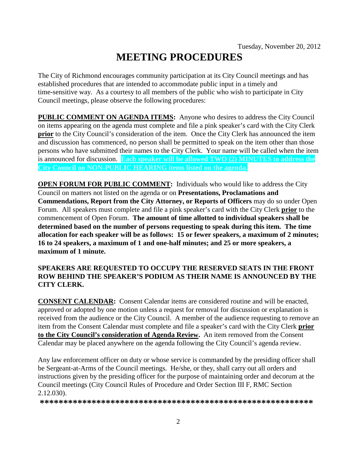# **MEETING PROCEDURES**

The City of Richmond encourages community participation at its City Council meetings and has established procedures that are intended to accommodate public input in a timely and time-sensitive way. As a courtesy to all members of the public who wish to participate in City Council meetings, please observe the following procedures:

**PUBLIC COMMENT ON AGENDA ITEMS:** Anyone who desires to address the City Council on items appearing on the agenda must complete and file a pink speaker's card with the City Clerk **prior** to the City Council's consideration of the item. Once the City Clerk has announced the item and discussion has commenced, no person shall be permitted to speak on the item other than those persons who have submitted their names to the City Clerk. Your name will be called when the item is announced for discussion. **Each speaker will be allowed TWO (2) MINUTES to address the City Council on NON-PUBLIC HEARING items listed on the agenda.**

**OPEN FORUM FOR PUBLIC COMMENT:** Individuals who would like to address the City Council on matters not listed on the agenda or on **Presentations, Proclamations and Commendations, Report from the City Attorney, or Reports of Officers** may do so under Open Forum. All speakers must complete and file a pink speaker's card with the City Clerk **prior** to the commencement of Open Forum. **The amount of time allotted to individual speakers shall be determined based on the number of persons requesting to speak during this item. The time allocation for each speaker will be as follows: 15 or fewer speakers, a maximum of 2 minutes; 16 to 24 speakers, a maximum of 1 and one-half minutes; and 25 or more speakers, a maximum of 1 minute.**

#### **SPEAKERS ARE REQUESTED TO OCCUPY THE RESERVED SEATS IN THE FRONT ROW BEHIND THE SPEAKER'S PODIUM AS THEIR NAME IS ANNOUNCED BY THE CITY CLERK.**

**CONSENT CALENDAR:** Consent Calendar items are considered routine and will be enacted, approved or adopted by one motion unless a request for removal for discussion or explanation is received from the audience or the City Council. A member of the audience requesting to remove an item from the Consent Calendar must complete and file a speaker's card with the City Clerk **prior to the City Council's consideration of Agenda Review.** An item removed from the Consent Calendar may be placed anywhere on the agenda following the City Council's agenda review.

Any law enforcement officer on duty or whose service is commanded by the presiding officer shall be Sergeant-at-Arms of the Council meetings. He/she, or they, shall carry out all orders and instructions given by the presiding officer for the purpose of maintaining order and decorum at the Council meetings (City Council Rules of Procedure and Order Section III F, RMC Section 2.12.030).

**\*\*\*\*\*\*\*\*\*\*\*\*\*\*\*\*\*\*\*\*\*\*\*\*\*\*\*\*\*\*\*\*\*\*\*\*\*\*\*\*\*\*\*\*\*\*\*\*\*\*\*\*\*\*\*\*\*\***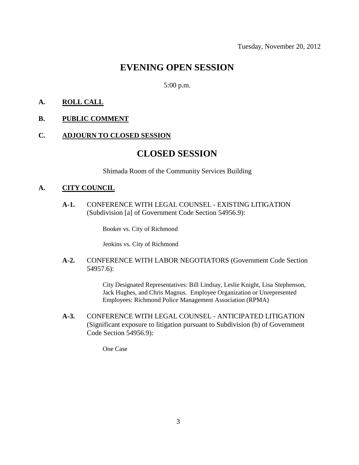## **EVENING OPEN SESSION**

5:00 p.m.

#### **A. ROLL CALL**

#### **B. PUBLIC COMMENT**

#### **C. ADJOURN TO CLOSED SESSION**

## **CLOSED SESSION**

Shimada Room of the Community Services Building

#### **A. CITY COUNCIL**

**A-1.** CONFERENCE WITH LEGAL COUNSEL - EXISTING LITIGATION (Subdivision [a] of Government Code Section 54956.9):

Booker vs. City of Richmond

Jenkins vs. City of Richmond

**A-2.** CONFERENCE WITH LABOR NEGOTIATORS (Government Code Section 54957.6):

> City Designated Representatives: Bill Lindsay, Leslie Knight, Lisa Stephenson, Jack Hughes, and Chris Magnus. Employee Organization or Unrepresented Employees: Richmond Police Management Association (RPMA)

**A-3.** CONFERENCE WITH LEGAL COUNSEL - ANTICIPATED LITIGATION (Significant exposure to litigation pursuant to Subdivision (b) of Government Code Section 54956.9):

One Case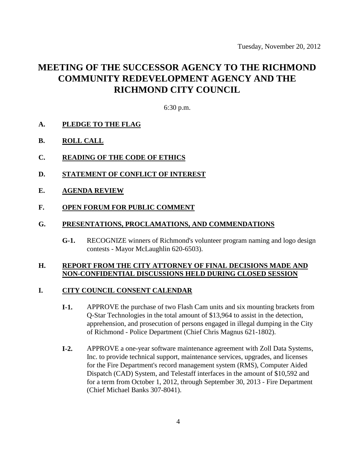## **MEETING OF THE SUCCESSOR AGENCY TO THE RICHMOND COMMUNITY REDEVELOPMENT AGENCY AND THE RICHMOND CITY COUNCIL**

6:30 p.m.

- **A. PLEDGE TO THE FLAG**
- **B. ROLL CALL**
- **C. READING OF THE CODE OF ETHICS**
- **D. STATEMENT OF CONFLICT OF INTEREST**
- **E. AGENDA REVIEW**
- **F. OPEN FORUM FOR PUBLIC COMMENT**

#### **G. PRESENTATIONS, PROCLAMATIONS, AND COMMENDATIONS**

**G-1.** RECOGNIZE winners of Richmond's volunteer program naming and logo design contests - Mayor McLaughlin 620-6503).

#### **H. REPORT FROM THE CITY ATTORNEY OF FINAL DECISIONS MADE AND NON-CONFIDENTIAL DISCUSSIONS HELD DURING CLOSED SESSION**

#### **I. CITY COUNCIL CONSENT CALENDAR**

- **I-1.** APPROVE the purchase of two Flash Cam units and six mounting brackets from Q-Star Technologies in the total amount of \$13,964 to assist in the detection, apprehension, and prosecution of persons engaged in illegal dumping in the City of Richmond - Police Department (Chief Chris Magnus 621-1802).
- **I-2.** APPROVE a one-year software maintenance agreement with Zoll Data Systems, Inc. to provide technical support, maintenance services, upgrades, and licenses for the Fire Department's record management system (RMS), Computer Aided Dispatch (CAD) System, and Telestaff interfaces in the amount of \$10,592 and for a term from October 1, 2012, through September 30, 2013 - Fire Department (Chief Michael Banks 307-8041).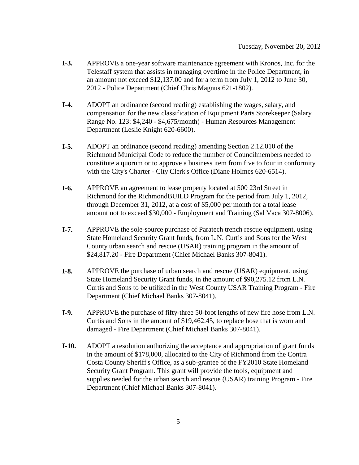- **I-3.** APPROVE a one-year software maintenance agreement with Kronos, Inc. for the Telestaff system that assists in managing overtime in the Police Department, in an amount not exceed \$12,137.00 and for a term from July 1, 2012 to June 30, 2012 - Police Department (Chief Chris Magnus 621-1802).
- **I-4.** ADOPT an ordinance (second reading) establishing the wages, salary, and compensation for the new classification of Equipment Parts Storekeeper (Salary Range No. 123: \$4,240 - \$4,675/month) - Human Resources Management Department (Leslie Knight 620-6600).
- **I-5.** ADOPT an ordinance (second reading) amending Section 2.12.010 of the Richmond Municipal Code to reduce the number of Councilmembers needed to constitute a quorum or to approve a business item from five to four in conformity with the City's Charter - City Clerk's Office (Diane Holmes 620-6514).
- **I-6.** APPROVE an agreement to lease property located at 500 23rd Street in Richmond for the RichmondBUILD Program for the period from July 1, 2012, through December 31, 2012, at a cost of \$5,000 per month for a total lease amount not to exceed \$30,000 - Employment and Training (Sal Vaca 307-8006).
- **I-7.** APPROVE the sole-source purchase of Paratech trench rescue equipment, using State Homeland Security Grant funds, from L.N. Curtis and Sons for the West County urban search and rescue (USAR) training program in the amount of \$24,817.20 - Fire Department (Chief Michael Banks 307-8041).
- **I-8.** APPROVE the purchase of urban search and rescue (USAR) equipment, using State Homeland Security Grant funds, in the amount of \$90,275.12 from L.N. Curtis and Sons to be utilized in the West County USAR Training Program - Fire Department (Chief Michael Banks 307-8041).
- **I-9.** APPROVE the purchase of fifty-three 50-foot lengths of new fire hose from L.N. Curtis and Sons in the amount of \$19,462.45, to replace hose that is worn and damaged - Fire Department (Chief Michael Banks 307-8041).
- **I-10.** ADOPT a resolution authorizing the acceptance and appropriation of grant funds in the amount of \$178,000, allocated to the City of Richmond from the Contra Costa County Sheriff's Office, as a sub-grantee of the FY2010 State Homeland Security Grant Program. This grant will provide the tools, equipment and supplies needed for the urban search and rescue (USAR) training Program - Fire Department (Chief Michael Banks 307-8041).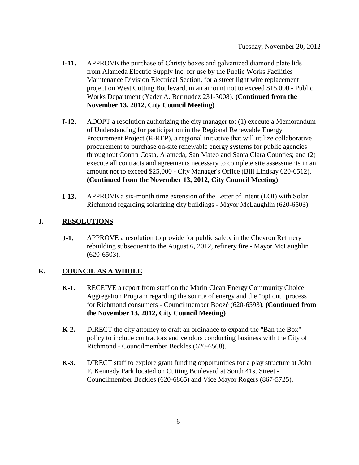- **I-11.** APPROVE the purchase of Christy boxes and galvanized diamond plate lids from Alameda Electric Supply Inc. for use by the Public Works Facilities Maintenance Division Electrical Section, for a street light wire replacement project on West Cutting Boulevard, in an amount not to exceed \$15,000 - Public Works Department (Yader A. Bermudez 231-3008). **(Continued from the November 13, 2012, City Council Meeting)**
- **I-12.** ADOPT a resolution authorizing the city manager to: (1) execute a Memorandum of Understanding for participation in the Regional Renewable Energy Procurement Project (R-REP), a regional initiative that will utilize collaborative procurement to purchase on-site renewable energy systems for public agencies throughout Contra Costa, Alameda, San Mateo and Santa Clara Counties; and (2) execute all contracts and agreements necessary to complete site assessments in an amount not to exceed \$25,000 - City Manager's Office (Bill Lindsay 620-6512). **(Continued from the November 13, 2012, City Council Meeting)**
- **I-13.** APPROVE a six-month time extension of the Letter of Intent (LOI) with Solar Richmond regarding solarizing city buildings - Mayor McLaughlin (620-6503).

### **J. RESOLUTIONS**

**J-1.** APPROVE a resolution to provide for public safety in the Chevron Refinery rebuilding subsequent to the August 6, 2012, refinery fire - Mayor McLaughlin (620-6503).

### **K. COUNCIL AS A WHOLE**

- **K-1.** RECEIVE a report from staff on the Marin Clean Energy Community Choice Aggregation Program regarding the source of energy and the "opt out" process for Richmond consumers - Councilmember Boozé (620-6593). **(Continued from the November 13, 2012, City Council Meeting)**
- **K-2.** DIRECT the city attorney to draft an ordinance to expand the "Ban the Box" policy to include contractors and vendors conducting business with the City of Richmond - Councilmember Beckles (620-6568).
- **K-3.** DIRECT staff to explore grant funding opportunities for a play structure at John F. Kennedy Park located on Cutting Boulevard at South 41st Street - Councilmember Beckles (620-6865) and Vice Mayor Rogers (867-5725).